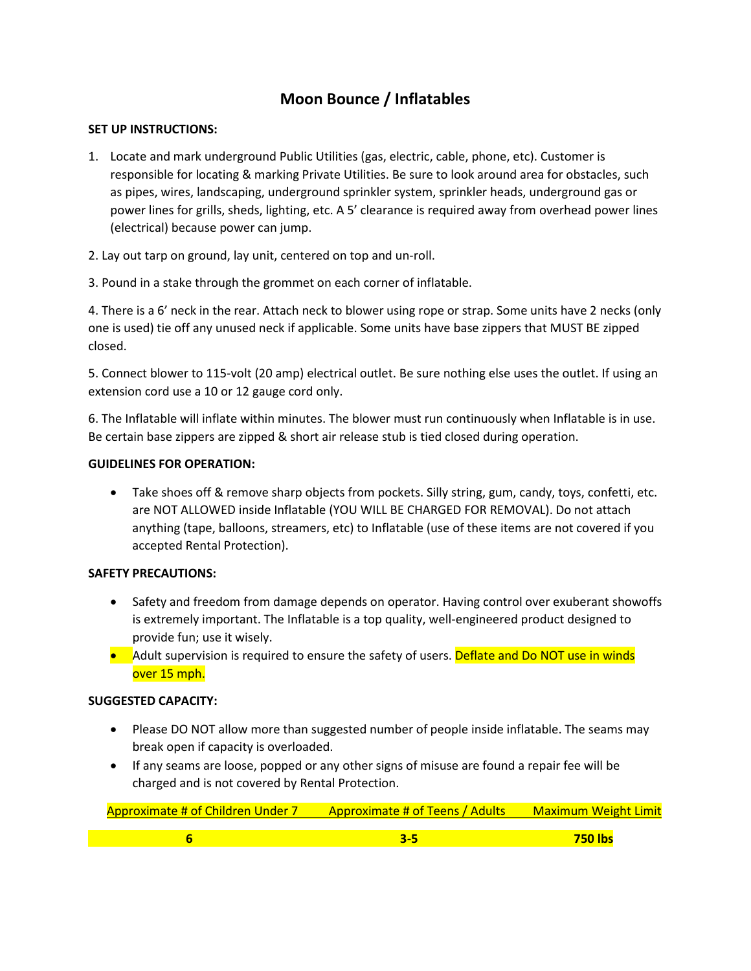# **Moon Bounce / Inflatables**

## **SET UP INSTRUCTIONS:**

- 1. Locate and mark underground Public Utilities (gas, electric, cable, phone, etc). Customer is responsible for locating & marking Private Utilities. Be sure to look around area for obstacles, such as pipes, wires, landscaping, underground sprinkler system, sprinkler heads, underground gas or power lines for grills, sheds, lighting, etc. A 5' clearance is required away from overhead power lines (electrical) because power can jump.
- 2. Lay out tarp on ground, lay unit, centered on top and un-roll.
- 3. Pound in a stake through the grommet on each corner of inflatable.

4. There is a 6' neck in the rear. Attach neck to blower using rope or strap. Some units have 2 necks (only one is used) tie off any unused neck if applicable. Some units have base zippers that MUST BE zipped closed.

5. Connect blower to 115-volt (20 amp) electrical outlet. Be sure nothing else uses the outlet. If using an extension cord use a 10 or 12 gauge cord only.

6. The Inflatable will inflate within minutes. The blower must run continuously when Inflatable is in use. Be certain base zippers are zipped & short air release stub is tied closed during operation.

## **GUIDELINES FOR OPERATION:**

• Take shoes off & remove sharp objects from pockets. Silly string, gum, candy, toys, confetti, etc. are NOT ALLOWED inside Inflatable (YOU WILL BE CHARGED FOR REMOVAL). Do not attach anything (tape, balloons, streamers, etc) to Inflatable (use of these items are not covered if you accepted Rental Protection).

#### **SAFETY PRECAUTIONS:**

- Safety and freedom from damage depends on operator. Having control over exuberant showoffs is extremely important. The Inflatable is a top quality, well-engineered product designed to provide fun; use it wisely.
- Adult supervision is required to ensure the safety of users. Deflate and Do NOT use in winds over 15 mph.

#### **SUGGESTED CAPACITY:**

- Please DO NOT allow more than suggested number of people inside inflatable. The seams may break open if capacity is overloaded.
- If any seams are loose, popped or any other signs of misuse are found a repair fee will be charged and is not covered by Rental Protection.

| <b>Approximate # of Children Under 7</b> | <b>Approximate # of Teens / Adults</b> | <b>Maximum Weight Limit</b> |
|------------------------------------------|----------------------------------------|-----------------------------|
|                                          |                                        |                             |
|                                          |                                        |                             |